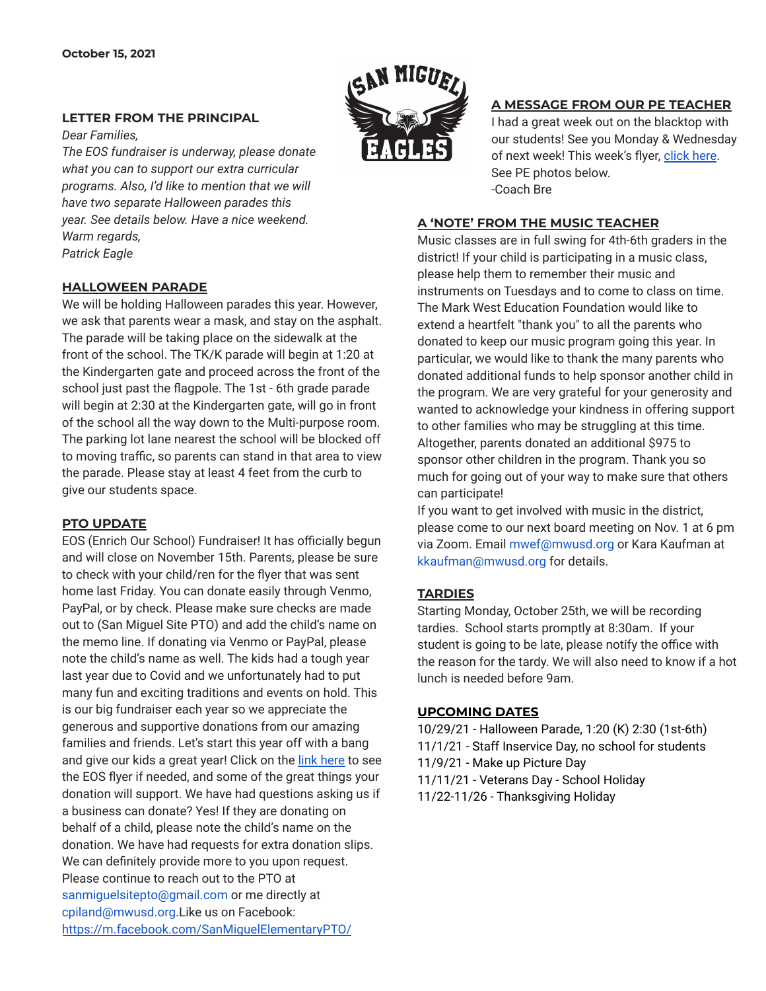*Dear Families,*

*Warm regards, Patrick Eagle*



## **A MESSAGE FROM OUR PE TEACHER**

I had a great week out on the blacktop with our students! See you Monday & Wednesday of next week! This week's flyer, [click](https://drive.google.com/file/d/1ZFQ3_bqSCbSEnWr5eewGUlpUaq_CTjDK/view?usp=sharing) here. See PE photos below. -Coach Bre

## **A 'NOTE' FROM THE MUSIC TEACHER**

Music classes are in full swing for 4th-6th graders in the district! If your child is participating in a music class, please help them to remember their music and instruments on Tuesdays and to come to class on time. The Mark West Education Foundation would like to extend a heartfelt "thank you" to all the parents who donated to keep our music program going this year. In particular, we would like to thank the many parents who donated additional funds to help sponsor another child in the program. We are very grateful for your generosity and wanted to acknowledge your kindness in offering support to other families who may be struggling at this time. Altogether, parents donated an additional \$975 to sponsor other children in the program. Thank you so much for going out of your way to make sure that others can participate!

If you want to get involved with music in the district, please come to our next board meeting on Nov. 1 at 6 pm via Zoom. Email mwef@mwusd.org or Kara Kaufman at kkaufman@mwusd.org for details.

### **TARDIES**

Starting Monday, October 25th, we will be recording tardies. School starts promptly at 8:30am. If your student is going to be late, please notify the office with the reason for the tardy. We will also need to know if a hot lunch is needed before 9am.

### **UPCOMING DATES**

10/29/21 - Halloween Parade, 1:20 (K) 2:30 (1st-6th) 11/1/21 - Staff Inservice Day, no school for students 11/9/21 - Make up Picture Day 11/11/21 - Veterans Day - School Holiday 11/22-11/26 - Thanksgiving Holiday

## **HALLOWEEN PARADE**

**LETTER FROM THE PRINCIPAL**

*The EOS fundraiser is underway, please donate what you can to support our extra curricular programs. Also, I'd like to mention that we will have two separate Halloween parades this year. See details below. Have a nice weekend.*

We will be holding Halloween parades this year. However, we ask that parents wear a mask, and stay on the asphalt. The parade will be taking place on the sidewalk at the front of the school. The TK/K parade will begin at 1:20 at the Kindergarten gate and proceed across the front of the school just past the flagpole. The 1st - 6th grade parade will begin at 2:30 at the Kindergarten gate, will go in front of the school all the way down to the Multi-purpose room. The parking lot lane nearest the school will be blocked off to moving traffic, so parents can stand in that area to view the parade. Please stay at least 4 feet from the curb to give our students space.

#### **PTO UPDATE**

EOS (Enrich Our School) Fundraiser! It has officially begun and will close on November 15th. Parents, please be sure to check with your child/ren for the flyer that was sent home last Friday. You can donate easily through Venmo, PayPal, or by check. Please make sure checks are made out to (San Miguel Site PTO) and add the child's name on the memo line. If donating via Venmo or PayPal, please note the child's name as well. The kids had a tough year last year due to Covid and we unfortunately had to put many fun and exciting traditions and events on hold. This is our big fundraiser each year so we appreciate the generous and supportive donations from our amazing families and friends. Let's start this year off with a bang and give our kids a great year! Click on the link [here](https://drive.google.com/file/d/1pgTC0m6yiUAll4UXHjcErgqL-ymdYpLK/view?usp=sharing) to see the EOS flyer if needed, and some of the great things your donation will support. We have had questions asking us if a business can donate? Yes! If they are donating on behalf of a child, please note the child's name on the donation. We have had requests for extra donation slips. We can definitely provide more to you upon request. Please continue to reach out to the PTO at sanmiguelsitepto@gmail.com or me directly at cpiland@mwusd.org.Like us on Facebook: <https://m.facebook.com/SanMiguelElementaryPTO/>